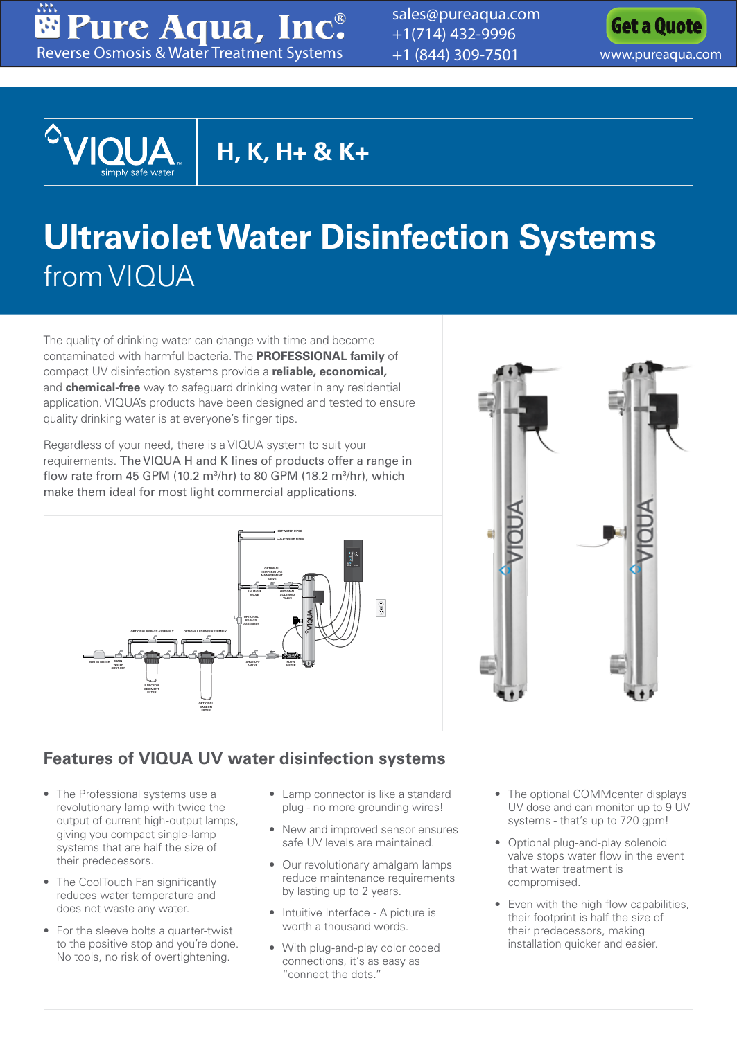Pure Aqua, Inc. [Reverse Osmosis & Water Treatment Systems](www.pureaqua.com)

[sales@pureaqua.com](mailto:sales@pureaqua.com) +1(714) 432-9996 +1 (844) 309-7501 <www.pureaqua.com>





**H, K, H+ & K+**

# **Ultraviolet Water Disinfection Systems** from VIQUA

The quality of drinking water can change with time and become contaminated with harmful bacteria. The **PROFESSIONAL family** of compact UV disinfection systems provide a **reliable, economical,** and **chemical-free** way to safeguard drinking water in any residential application. VIQUA's products have been designed and tested to ensure quality drinking water is at everyone's finger tips.

Regardless of your need, there is a VIQUA system to suit your requirements. The VIQUA H and K lines of products offer a range in flow rate from 45 GPM (10.2 m<sup>3</sup>/hr) to 80 GPM (18.2 m<sup>3</sup>/hr), which make them ideal for most light commercial applications.





#### **Features of VIQUA UV water disinfection systems**

- The Professional systems use a revolutionary lamp with twice the output of current high-output lamps, giving you compact single-lamp systems that are half the size of their predecessors.
- The CoolTouch Fan significantly reduces water temperature and does not waste any water.
- For the sleeve bolts a quarter-twist to the positive stop and you're done. No tools, no risk of overtightening.
- Lamp connector is like a standard plug - no more grounding wires!
- New and improved sensor ensures safe UV levels are maintained.
- Our revolutionary amalgam lamps reduce maintenance requirements by lasting up to 2 years.
- Intuitive Interface A picture is worth a thousand words.
- With plug-and-play color coded connections, it's as easy as "connect the dots."
- The optional COMMcenter displays UV dose and can monitor up to 9 UV systems - that's up to 720 gpm!
- Optional plug-and-play solenoid valve stops water flow in the event that water treatment is compromised.
- Even with the high flow capabilities, their footprint is half the size of their predecessors, making installation quicker and easier.